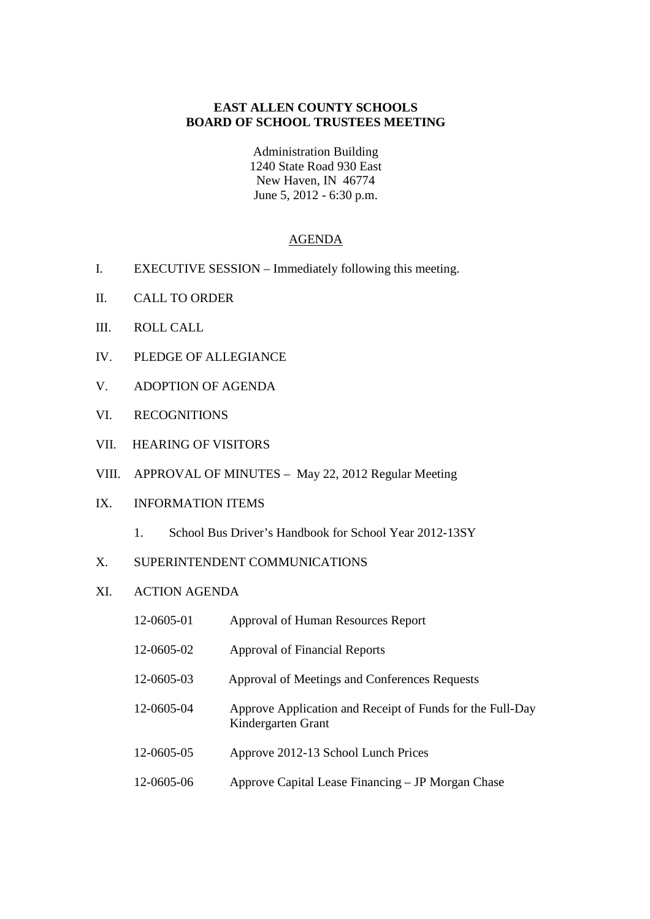### **EAST ALLEN COUNTY SCHOOLS BOARD OF SCHOOL TRUSTEES MEETING**

Administration Building 1240 State Road 930 East New Haven, IN 46774 June 5, 2012 - 6:30 p.m.

#### AGENDA

- I. EXECUTIVE SESSION Immediately following this meeting.
- II. CALL TO ORDER
- III. ROLL CALL
- IV. PLEDGE OF ALLEGIANCE
- V. ADOPTION OF AGENDA
- VI. RECOGNITIONS
- VII. HEARING OF VISITORS
- VIII. APPROVAL OF MINUTES May 22, 2012 Regular Meeting

# IX. INFORMATION ITEMS

- 1. School Bus Driver's Handbook for School Year 2012-13SY
- X. SUPERINTENDENT COMMUNICATIONS

# XI. ACTION AGENDA

| 12-0605-01 | Approval of Human Resources Report                                              |
|------------|---------------------------------------------------------------------------------|
| 12-0605-02 | Approval of Financial Reports                                                   |
| 12-0605-03 | Approval of Meetings and Conferences Requests                                   |
| 12-0605-04 | Approve Application and Receipt of Funds for the Full-Day<br>Kindergarten Grant |
| 12-0605-05 | Approve 2012-13 School Lunch Prices                                             |
| 12-0605-06 | Approve Capital Lease Financing – JP Morgan Chase                               |